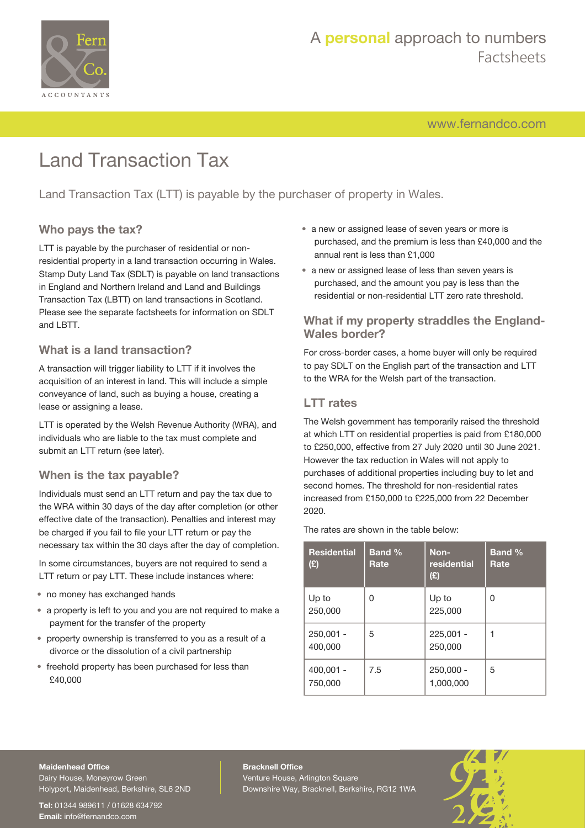

# A **personal** approach to numbers Factsheets

[www.fernandco.com](http://www.fernandco.com)

# Land Transaction Tax

Land Transaction Tax (LTT) is payable by the purchaser of property in Wales.

## **Who pays the tax?**

LTT is payable by the purchaser of residential or nonresidential property in a land transaction occurring in Wales. Stamp Duty Land Tax (SDLT) is payable on land transactions in England and Northern Ireland and Land and Buildings Transaction Tax (LBTT) on land transactions in Scotland. Please see the separate factsheets for information on SDLT and LBTT.

## **What is a land transaction?**

A transaction will trigger liability to LTT if it involves the acquisition of an interest in land. This will include a simple conveyance of land, such as buying a house, creating a lease or assigning a lease.

LTT is operated by the Welsh Revenue Authority (WRA), and individuals who are liable to the tax must complete and submit an LTT return (see later).

## **When is the tax payable?**

Individuals must send an LTT return and pay the tax due to the WRA within 30 days of the day after completion (or other effective date of the transaction). Penalties and interest may be charged if you fail to file your LTT return or pay the necessary tax within the 30 days after the day of completion.

In some circumstances, buyers are not required to send a LTT return or pay LTT. These include instances where:

- no money has exchanged hands
- a property is left to you and you are not required to make a payment for the transfer of the property
- property ownership is transferred to you as a result of a divorce or the dissolution of a civil partnership
- freehold property has been purchased for less than £40,000
- a new or assigned lease of seven years or more is purchased, and the premium is less than £40,000 and the annual rent is less than £1,000
- a new or assigned lease of less than seven years is purchased, and the amount you pay is less than the residential or non-residential LTT zero rate threshold.

## **What if my property straddles the England-Wales border?**

For cross-border cases, a home buyer will only be required to pay SDLT on the English part of the transaction and LTT to the WRA for the Welsh part of the transaction.

## **LTT rates**

The Welsh government has temporarily raised the threshold at which LTT on residential properties is paid from £180,000 to £250,000, effective from 27 July 2020 until 30 June 2021. However the tax reduction in Wales will not apply to purchases of additional properties including buy to let and second homes. The threshold for non-residential rates increased from £150,000 to £225,000 from 22 December 2020.

The rates are shown in the table below:

| <b>Residential</b><br>(E) | <b>Band %</b><br>Rate | Non-<br>residential<br>(E) | <b>Band %</b><br>Rate |
|---------------------------|-----------------------|----------------------------|-----------------------|
| Up to<br>250,000          | 0                     | Up to<br>225,000           | 0                     |
| $250,001 -$<br>400,000    | 5                     | 225.001 -<br>250,000       | 1                     |
| $400,001 -$<br>750,000    | 7.5                   | 250,000 -<br>1,000,000     | 5                     |

#### **Maidenhead Office**

Dairy House, Moneyrow Green Holyport, Maidenhead, Berkshire, SL6 2ND

**Tel:** 01344 989611 / 01628 634792 **Email:** [info@fernandco.com](mailto:info@fernandco.com)

**Bracknell Office** Venture House, Arlington Square Downshire Way, Bracknell, Berkshire, RG12 1WA